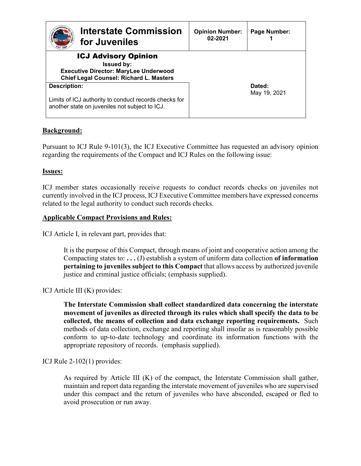| Interstate Commission<br>for Juveniles                                                                                                             | <b>Opinion Number:</b><br>02-2021 | Page Number:           |
|----------------------------------------------------------------------------------------------------------------------------------------------------|-----------------------------------|------------------------|
| <b>ICJ Advisory Opinion</b><br><b>Issued by:</b><br><b>Executive Director: MaryLee Underwood</b><br><b>Chief Legal Counsel: Richard L. Masters</b> |                                   |                        |
| Description:<br>Limits of ICJ authority to conduct records checks for<br>another state on juveniles not subject to ICJ.                            |                                   | Dated:<br>May 19, 2021 |

# **Background:**

Pursuant to ICJ Rule 9-101(3), the ICJ Executive Committee has requested an advisory opinion regarding the requirements of the Compact and ICJ Rules on the following issue:

## **Issues:**

ICJ member states occasionally receive requests to conduct records checks on juveniles not currently involved in the ICJ process, ICJ Executive Committee members have expressed concerns related to the legal authority to conduct such records checks.

### **Applicable Compact Provisions and Rules:**

ICJ Article I, in relevant part, provides that:

It is the purpose of this Compact, through means of joint and cooperative action among the Compacting states to: **. . .** (J) establish a system of uniform data collection **of information pertaining to juveniles subject to this Compact** that allows access by authorized juvenile justice and criminal justice officials; (emphasis supplied).

ICJ Article III (K) provides:

**The Interstate Commission shall collect standardized data concerning the interstate movement of juveniles as directed through its rules which shall specify the data to be collected, the means of collection and data exchange reporting requirements.** Such methods of data collection, exchange and reporting shall insofar as is reasonably possible conform to up-to-date technology and coordinate its information functions with the appropriate repository of records. (emphasis supplied).

## ICJ Rule 2-102(1) provides:

As required by Article III (K) of the compact, the Interstate Commission shall gather, maintain and report data regarding the interstate movement of juveniles who are supervised under this compact and the return of juveniles who have absconded, escaped or fled to avoid prosecution or run away.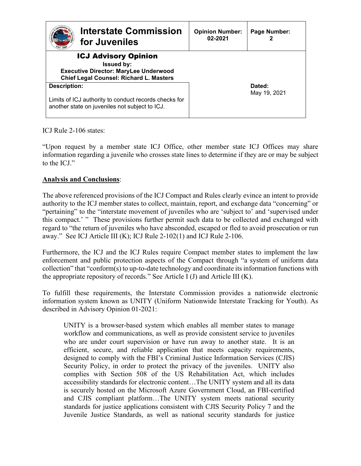| Interstate Commission<br>for Juveniles                                                                                                             | <b>Opinion Number:</b><br>02-2021 | Page Number:           |
|----------------------------------------------------------------------------------------------------------------------------------------------------|-----------------------------------|------------------------|
| <b>ICJ Advisory Opinion</b><br><b>Issued by:</b><br><b>Executive Director: MaryLee Underwood</b><br><b>Chief Legal Counsel: Richard L. Masters</b> |                                   |                        |
| Description:<br>Limits of ICJ authority to conduct records checks for<br>another state on juveniles not subject to ICJ.                            |                                   | Dated:<br>May 19, 2021 |

ICJ Rule 2-106 states:

"Upon request by a member state ICJ Office, other member state ICJ Offices may share information regarding a juvenile who crosses state lines to determine if they are or may be subject to the ICJ."

# **Analysis and Conclusions**:

The above referenced provisions of the ICJ Compact and Rules clearly evince an intent to provide authority to the ICJ member states to collect, maintain, report, and exchange data "concerning" or "pertaining" to the "interstate movement of juveniles who are 'subject to' and 'supervised under this compact.' " These provisions further permit such data to be collected and exchanged with regard to "the return of juveniles who have absconded, escaped or fled to avoid prosecution or run away." See ICJ Article III (K); ICJ Rule 2-102(1) and ICJ Rule 2-106.

Furthermore, the ICJ and the ICJ Rules require Compact member states to implement the law enforcement and public protection aspects of the Compact through "a system of uniform data collection" that "conform(s) to up-to-date technology and coordinate its information functions with the appropriate repository of records." See Article I  $(J)$  and Article III  $(K)$ .

To fulfill these requirements, the Interstate Commission provides a nationwide electronic information system known as UNITY (Uniform Nationwide Interstate Tracking for Youth). As described in Advisory Opinion 01-2021:

UNITY is a browser-based system which enables all member states to manage workflow and communications, as well as provide consistent service to juveniles who are under court supervision or have run away to another state. It is an efficient, secure, and reliable application that meets capacity requirements, designed to comply with the FBI's Criminal Justice Information Services (CJIS) Security Policy, in order to protect the privacy of the juveniles. UNITY also complies with Section 508 of the US Rehabilitation Act, which includes accessibility standards for electronic content…The UNITY system and all its data is securely hosted on the Microsoft Azure Government Cloud, an FBI-certified and CJIS compliant platform…The UNITY system meets national security standards for justice applications consistent with CJIS Security Policy 7 and the Juvenile Justice Standards, as well as national security standards for justice